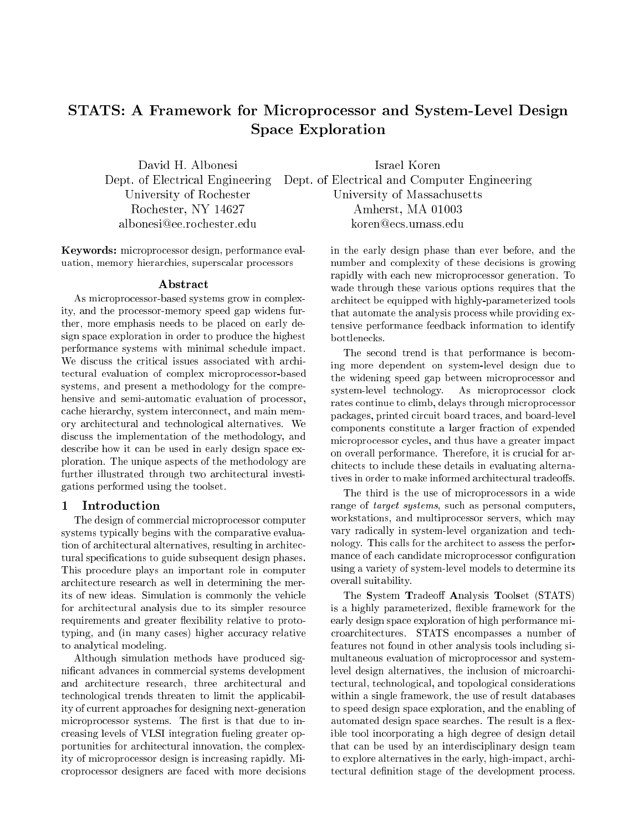# STATS: A Framework for Microprocessor and System-Level Design Space Exploration

albonesi@ee.rochester.edu

Keywords: microprocessor design, performance evaluation, memory hierarchies, superscalar processors

### Abstract

As microprocessor-based systems grow in complexity, and the processor-memory speed gap widens further, more emphasis needs to be placed on early design space exploration in order to produce the highest performance systems with minimal schedule impact. We discuss the critical issues associated with architectural evaluation of complex microprocessor-based systems, and present a methodology for the comprehensive and semi-automatic evaluation of processor, cache hierarchy, system interconnect, and main memory architectural and technological alternatives. We discuss the implementation of the methodology, and describe how it can be used in early design space exploration. The unique aspects of the methodology are further illustrated through two architectural investigations performed using the toolset.

### 1 Introduction

The design of commercial microprocessor computer systems typically begins with the comparative evaluation of architectural alternatives, resulting in architectural specifications to guide subsequent design phases. This procedure plays an important role in computer architecture research as well in determining the merits of new ideas. Simulation is commonly the vehicle for architectural analysis due to its simpler resource requirements and greater flexibility relative to prototyping, and (in many cases) higher accuracy relative to analytical modeling.

Although simulation methods have produced signicant advances in commercial systems development and architecture research, three architectural and technological trends threaten to limit the applicability of current approaches for designing next-generation microprocessor systems. The first is that due to increasing levels of VLSI integration fueling greater opportunities for architectural innovation, the complexity of microprocessor design is increasing rapidly. Microprocessor designers are faced with more decisions

David H. Albonesi Israel Koren Dept. of Electrical Engineering Dept. of Electrical and Computer Engineering University of Rochester University of Massachusetts Rochester, NY 14627 Amherst, MA 01003 koren@ecs.umass.edu

> in the early design phase than ever before, and the number and complexity of these decisions is growing rapidly with each new microprocessor generation. To wade through these various options requires that the architect be equipped with highly-parameterized tools that automate the analysis process while providing extensive performance feedback information to identify bottlenecks.

> The second trend is that performance is becoming more dependent on system-level design due to the widening speed gap between microprocessor and system-level technology. As microprocessor clock rates continue to climb, delays through microprocessor packages, printed circuit board traces, and board-level components constitute a larger fraction of expended microprocessor cycles, and thus have a greater impact on overall performance. Therefore, it is crucial for architects to include these details in evaluating alternatives in order to make informed architectural tradeoffs.

> The third is the use of microprocessors in a wide range of target systems, such as personal computers, workstations, and multiprocessor servers, which may vary radically in system-level organization and technology. This calls for the architect to assess the performance of each candidate microprocessor configuration using a variety of system-level models to determine its overall suitability.

> The System Tradeoff Analysis Toolset (STATS) is a highly parameterized, flexible framework for the early design space exploration of high performance microarchitectures. STATS encompasses a number of features not found in other analysis tools including simultaneous evaluation of microprocessor and systemlevel design alternatives, the inclusion of microarchitectural, technological, and topological considerations within a single framework, the use of result databases to speed design space exploration, and the enabling of automated design space searches. The result is a flexible tool incorporating a high degree of design detail that can be used by an interdisciplinary design team to explore alternatives in the early, high-impact, architectural definition stage of the development process.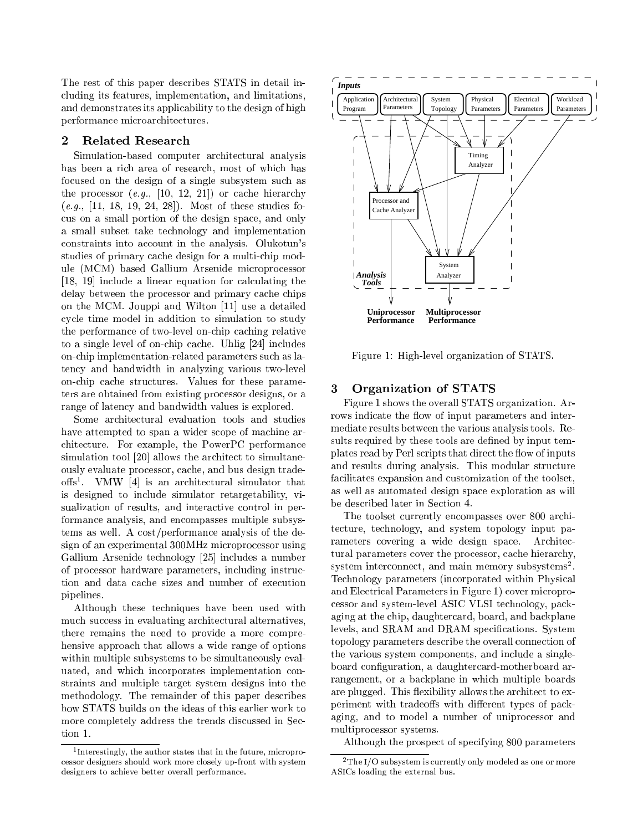The rest of this paper describes STATS in detail including its features, implementation, and limitations, and demonstrates its applicability to the design of high performance microarchitectures.

#### $\mathbf 2$ Related Research

Simulation-based computer architectural analysis has been a rich area of research, most of which has focused on the design of a single subsystem such as the processor  $(e.g., [10, 12, 21])$  or cache hierarchy  $(e.g., [11, 18, 19, 24, 28])$ . Most of these studies focus on a small portion of the design space, and only a small subset take technology and implementation constraints into account in the analysis. Olukotun's studies of primary cache design for a multi-chip module (MCM) based Gallium Arsenide microprocessor [18, 19] include a linear equation for calculating the delay between the processor and primary cache chips on the MCM. Jouppi and Wilton [11] use a detailed cycle time model in addition to simulation to study the performance of two-level on-chip caching relative to a single level of on-chip cache. Uhlig [24] includes on-chip implementation-related parameters such as latency and bandwidth in analyzing various two-level on-chip cache structures. Values for these parameters are obtained from existing processor designs, or a range of latency and bandwidth values is explored.

Some architectural evaluation tools and studies have attempted to span a wider scope of machine architecture. For example, the PowerPC performance simulation tool [20] allows the architect to simultaneously evaluate processor, cache, and bus design trade- $\overline{\text{ons}}$  . VMW  $_{|4|}$  is an architectural simulator that is designed to include simulator retargetability, visualization of results, and interactive control in performance analysis, and encompasses multiple subsystems as well. A cost/performance analysis of the design of an experimental 300MHz microprocessor using Gallium Arsenide technology [25] includes a number of processor hardware parameters, including instruction and data cache sizes and number of execution pipelines.

Although these techniques have been used with much success in evaluating architectural alternatives, there remains the need to provide a more comprehensive approach that allows a wide range of options within multiple subsystems to be simultaneously evaluated, and which incorporates implementation constraints and multiple target system designs into the methodology. The remainder of this paper describes how STATS builds on the ideas of this earlier work to more completely address the trends discussed in Section 1.



Figure 1: High-level organization of STATS.

### 3 3 Organization of STATS

Figure 1 shows the overall STATS organization. Arrows indicate the flow of input parameters and intermediate results between the various analysis tools. Results required by these tools are defined by input templates read by Perl scripts that direct the flow of inputs and results during analysis. This modular structure facilitates expansion and customization of the toolset, as well as automated design space exploration as will be described later in Section 4.

The toolset currently encompasses over 800 architecture, technology, and system topology input parameters covering a wide design space. Architectural parameters cover the processor, cache hierarchy, system interconnect, and main memory subsystems-. Technology parameters (incorporated within Physical and Electrical Parameters in Figure 1) cover microprocessor and system-level ASIC VLSI technology, packaging at the chip, daughtercard, board, and backplane levels, and SRAM and DRAM specifications. System topology parameters describe the overall connection of the various system components, and include a singleboard configuration, a daughtercard-motherboard arrangement, or a backplane in which multiple boards are plugged. This flexibility allows the architect to experiment with tradeoffs with different types of packaging, and to model a number of uniprocessor and multiprocessor systems.

Although the prospect of specifying 800 parameters

<sup>1</sup> Interestingly, the author states that in the future, microprocessor designers should work more closely up-front with system designers to achieve better overall performance.

 $2$ The I/O subsystem is currently only modeled as one or more ASICs loading the external bus.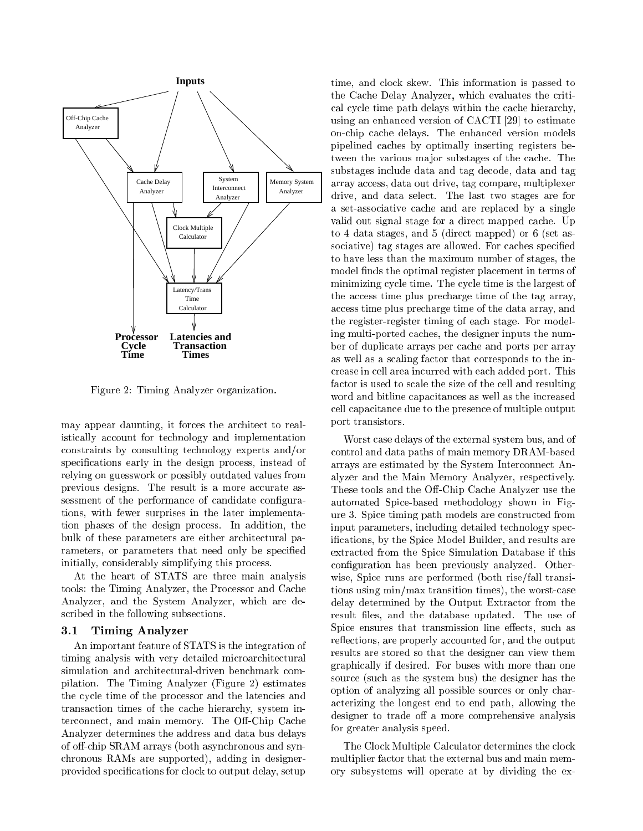

Figure 2: Timing Analyzer organization.

may appear daunting, it forces the architect to realistically account for technology and implementation constraints by consulting technology experts and/or specifications early in the design process, instead of relying on guesswork or possibly outdated values from previous designs. The result is a more accurate assessment of the performance of candidate configurations, with fewer surprises in the later implementation phases of the design process. In addition, the bulk of these parameters are either architectural parameters, or parameters that need only be specied initially, considerably simplifying this process.

At the heart of STATS are three main analysis tools: the Timing Analyzer, the Processor and Cache Analyzer, and the System Analyzer, which are described in the following subsections.

### 3.1 Timing Analyzer

An important feature of STATS is the integration of timing analysis with very detailed microarchitectural simulation and architectural-driven benchmark compilation. The Timing Analyzer (Figure 2) estimates the cycle time of the processor and the latencies and transaction times of the cache hierarchy, system interconnect, and main memory. The Off-Chip Cache Analyzer determines the address and data bus delays of off-chip  $SRAM$  arrays (both asynchronous and synchronous RAMs are supported), adding in designerprovided specications for clock to output delay, setup time, and clock skew. This information is passed to the Cache Delay Analyzer, which evaluates the critical cycle time path delays within the cache hierarchy, using an enhanced version of CACTI [29] to estimate on-chip cache delays. The enhanced version models pipelined caches by optimally inserting registers between the various ma jor substages of the cache. The substages include data and tag decode, data and tag array access, data out drive, tag compare, multiplexer drive, and data select. The last two stages are for a set-associative cache and are replaced by a single valid out signal stage for a direct mapped cache. Up to 4 data stages, and 5 (direct mapped) or 6 (set associative) tag stages are allowed. For caches specified to have less than the maximum number of stages, the model finds the optimal register placement in terms of minimizing cycle time. The cycle time is the largest of the access time plus precharge time of the tag array, access time plus precharge time of the data array, and the register-register timing of each stage. For modeling multi-ported caches, the designer inputs the number of duplicate arrays per cache and ports per array as well as a scaling factor that corresponds to the increase in cell area incurred with each added port. This factor is used to scale the size of the cell and resulting word and bitline capacitances as well as the increased cell capacitance due to the presence of multiple output port transistors.

Worst case delays of the external system bus, and of control and data paths of main memory DRAM-based arrays are estimated by the System Interconnect Analyzer and the Main Memory Analyzer, respectively. These tools and the Off-Chip Cache Analyzer use the automated Spice-based methodology shown in Figure 3. Spice timing path models are constructed from input parameters, including detailed technology specications, by the Spice Model Builder, and results are extracted from the Spice Simulation Database if this configuration has been previously analyzed. Otherwise, Spice runs are performed (both rise/fall transitions using min/max transition times), the worst-case delay determined by the Output Extractor from the result files, and the database updated. The use of Spice ensures that transmission line effects, such as reflections, are properly accounted for, and the output results are stored so that the designer can view them graphically if desired. For buses with more than one source (such as the system bus) the designer has the option of analyzing all possible sources or only characterizing the longest end to end path, allowing the designer to trade off a more comprehensive analysis for greater analysis speed.

The Clock Multiple Calculator determines the clock multiplier factor that the external bus and main memory subsystems will operate at by dividing the ex-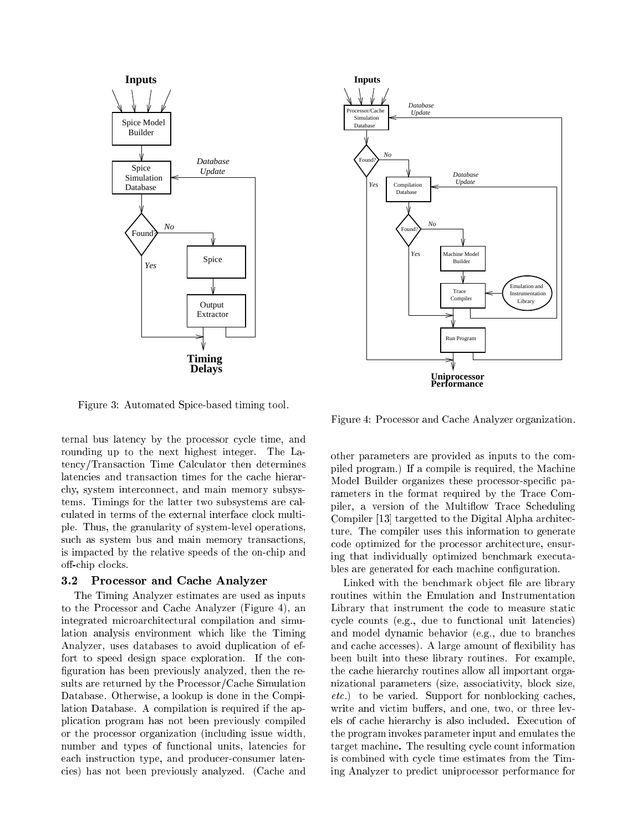

Figure 3: Automated Spice-based timing tool.

ternal bus latency by the processor cycle time, and rounding up to the next highest integer. The Latency/Transaction Time Calculator then determines latencies and transaction times for the cache hierarchy, system interconnect, and main memory subsystems. Timings for the latter two subsystems are calculated in terms of the external interface clock multiple. Thus, the granularity of system-level operations, such as system bus and main memory transactions, is impacted by the relative speeds of the on-chip and off-chip clocks.

### 3.2 Processor and Cache Analyzer

The Timing Analyzer estimates are used as inputs to the Processor and Cache Analyzer (Figure 4), an integrated microarchitectural compilation and simulation analysis environment which like the Timing Analyzer, uses databases to avoid duplication of effort to speed design space exploration. If the con figuration has been previously analyzed, then the results are returned by the Processor/Cache Simulation Database. Otherwise, a lookup is done in the Compilation Database. A compilation is required if the application program has not been previously compiled or the processor organization (including issue width, number and types of functional units, latencies for each instruction type, and producer-consumer latencies) has not been previously analyzed. (Cache and



Figure 4: Processor and Cache Analyzer organization.

other parameters are provided as inputs to the compiled program.) If a compile is required, the Machine Model Builder organizes these processor-specific parameters in the format required by the Trace Compiler, a version of the Multiflow Trace Scheduling Compiler [13] targetted to the Digital Alpha architecture. The compiler uses this information to generate code optimized for the processor architecture, ensuring that individually optimized benchmark executables are generated for each machine configuration.

Linked with the benchmark object file are library routines within the Emulation and Instrumentation Library that instrument the code to measure static cycle counts (e.g., due to functional unit latencies) and model dynamic behavior (e.g., due to branches and cache accesses). A large amount of flexibility has been built into these library routines. For example, the cache hierarchy routines allow all important organizational parameters (size, associativity, block size, etc.) to be varied. Support for nonblocking caches, write and victim buffers, and one, two, or three levels of cache hierarchy is also included. Execution of the program invokes parameter input and emulates the target machine. The resulting cycle count information is combined with cycle time estimates from the Timing Analyzer to predict uniprocessor performance for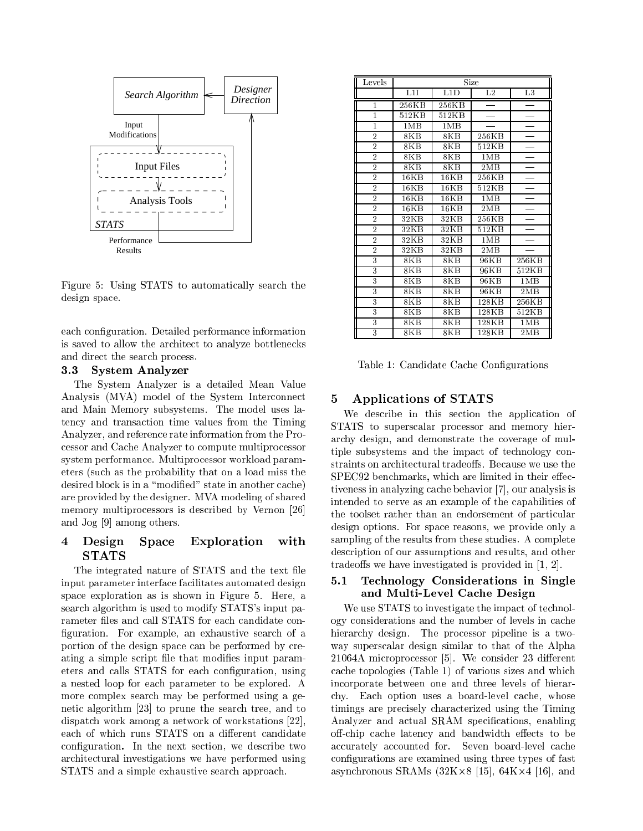

Figure 5: Using STATS to automatically search the design space.

each configuration. Detailed performance information is saved to allow the architect to analyze bottlenecks and direct the search process.

### 3.3 System Analyzer

The System Analyzer is a detailed Mean Value Analysis (MVA) model of the System Interconnect and Main Memory subsystems. The model uses latency and transaction time values from the Timing Analyzer, and reference rate information from the Processor and Cache Analyzer to compute multiprocessor system performance. Multiprocessor workload parameters (such as the probability that on a load miss the desired block is in a "modified" state in another cache) are provided by the designer. MVA modeling of shared memory multiprocessors is described by Vernon [26] and Jog [9] among others.

## 4 Design Space Exploration with  $\rm STATS$

The integrated nature of STATS and the text file input parameter interface facilitates automated design space exploration as is shown in Figure 5. Here, a search algorithm is used to modify STATS's input parameter files and call STATS for each candidate configuration. For example, an exhaustive search of a portion of the design space can be performed by creating a simple script file that modifies input parameters and calls STATS for each conguration, using a nested loop for each parameter to be explored. A more complex search may be performed using a genetic algorithm [23] to prune the search tree, and to dispatch work among a network of workstations [22], each of which runs STATS on a different candidate conguration. In the next section, we describe two architectural investigations we have performed using STATS and a simple exhaustive search approach.

| Levels         | Size                |        |             |                 |
|----------------|---------------------|--------|-------------|-----------------|
|                | $\overline{L1I}$    | L1D    | $_{\rm L2}$ | $\overline{L}3$ |
| 1              | $\overline{256}$ KB | 256KB  |             |                 |
| 1              | 512KB               | 512KB  |             |                 |
| 1              | 1MR                 | 1MB    |             |                 |
| $\overline{2}$ | 8KB                 | $8K$ B | 256KB       |                 |
| $\overline{2}$ | 8KB                 | 8KB    | 512KB       |                 |
| $\overline{2}$ | 8KB                 | 8KB    | 1MB         |                 |
| $\overline{2}$ | 8KB                 | $8K$ B | 2MB         |                 |
| $\overline{2}$ | 16KB                | 16KB   | 256KB       |                 |
| $\overline{2}$ | 16KB                | 16KB   | 512KB       |                 |
| $\overline{2}$ | 16KB                | 16KB   | 1MB         |                 |
| $\overline{2}$ | 16KB                | 16KB   | 2MB         |                 |
| $\overline{2}$ | 32 <sub>K</sub> B   | 32KB   | 256KB       |                 |
| $\overline{2}$ | 32KB                | 32KB   | 512KB       |                 |
| $\overline{2}$ | 32KB                | 32KB   | 1MB         |                 |
| $\overline{2}$ | 32 <sub>K</sub> B   | 32KB   | 2MB         |                 |
| 3              | 8KB                 | $8K$ B | 96KB        | 256KB           |
| 3              | 8KB                 | $8K$ B | 96KB        | 512KB           |
| 3              | 8KB                 | 8KB    | 96KB        | 1MB             |
| 3              | 8KB                 | $8K$ B | 96KB        | 2MB             |
| 3              | 8KB                 | $8K$ B | 128KB       | 256KB           |
| 3              | 8KB                 | 8KB    | 128KB       | 512KB           |
| 3              | 8KB                 | 8KB    | 128KB       | 1MR             |
| 3              | $8\mathrm{KB}$      | 8KB    | 128KB       | 2MB             |

Table 1: Candidate Cache Congurations

## 5 Applications of STATS

We describe in this section the application of STATS to superscalar processor and memory hierarchy design, and demonstrate the coverage of multiple subsystems and the impact of technology constraints on architectural tradeoffs. Because we use the SPEC92 benchmarks, which are limited in their effectiveness in analyzing cache behavior [7], our analysis is intended to serve as an example of the capabilities of the toolset rather than an endorsement of particular design options. For space reasons, we provide only a sampling of the results from these studies. A complete description of our assumptions and results, and other tradeoffs we have investigated is provided in  $[1, 2]$ .

## 5.1 Technology Considerations in Single and Multi-Level Cache Design

We use STATS to investigate the impact of technology considerations and the number of levels in cache hierarchy design. The processor pipeline is a twoway superscalar design similar to that of the Alpha  $21064A$  microprocessor [5]. We consider 23 different cache topologies (Table 1) of various sizes and which incorporate between one and three levels of hierarchy. Each option uses a board-level cache, whose timings are precisely characterized using the Timing Analyzer and actual SRAM specifications, enabling off-chip cache latency and bandwidth effects to be accurately accounted for. Seven board-level cache configurations are examined using three types of fast asynchronous SRAMs (32K-8 [15], 64K-4 [16], and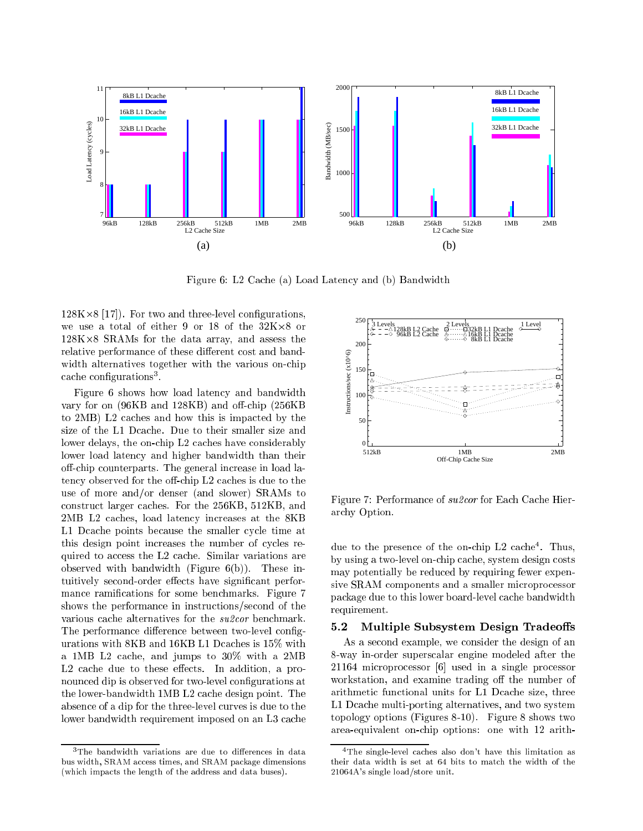

Figure 6: L2 Cache (a) Load Latency and (b) Bandwidth

128K-8 [17]). For two and three-level congurations, assessed processed and the data array, and assessment that relative performance of these different cost and bandwidth alternatives together with the various on-chip cache conngurations<sup>-</sup>.

Figure 6 shows how load latency and bandwidth vary for on  $(96KB \text{ and } 128KB)$  and off-chip  $(256KB)$ to 2MB) L2 caches and how this is impacted by the size of the L1 Dcache. Due to their smaller size and lower delays, the on-chip L2 caches have considerably lower load latency and higher bandwidth than their off-chip counterparts. The general increase in load latency observed for the off-chip  $L2$  caches is due to the use of more and/or denser (and slower) SRAMs to construct larger caches. For the 256KB, 512KB, and 2MB L2 caches, load latency increases at the 8KB L1 Dcache points because the smaller cycle time at this design point increases the number of cycles required to access the L2 cache. Similar variations are observed with bandwidth (Figure  $6(b)$ ). These intuitively second-order effects have significant performance ramifications for some benchmarks. Figure 7 shows the performance in instructions/second of the various cache alternatives for the su2cor benchmark. The performance difference between two-level configurations with 8KB and 16KB L1 Dcaches is 15% with a 1MB L2 cache, and jumps to 30% with a 2MB  $L2$  cache due to these effects. In addition, a pronounced dip is observed for two-level congurations at the lower-bandwidth 1MB L2 cache design point. The absence of a dip for the three-level curves is due to the lower bandwidth requirement imposed on an L3 cache



Figure 7: Performance of su2cor for Each Cache Hierarchy Option.

due to the presence of the on-chip L2 cache-. Thus, by using a two-level on-chip cache, system design costs may potentially be reduced by requiring fewer expensive SRAM components and a smaller microprocessor package due to this lower board-level cache bandwidth requirement.

### 5.2 Multiple Subsystem Design Tradeoffs

As a second example, we consider the design of an 8-way in-order superscalar engine modeled after the 21164 microprocessor [6] used in a single processor workstation, and examine trading off the number of arithmetic functional units for L1 Dcache size, three L1 Dcache multi-porting alternatives, and two system topology options (Figures 8-10). Figure 8 shows two area-equivalent on-chip options: one with 12 arith-

 $3$ The bandwidth variations are due to differences in data bus width, SRAM access times, and SRAM package dimensions (which impacts the length of the address and data buses).

<sup>4</sup>The single-level caches also don't have this limitation as their data width is set at 64 bits to match the width of the 21064A's single load/store unit.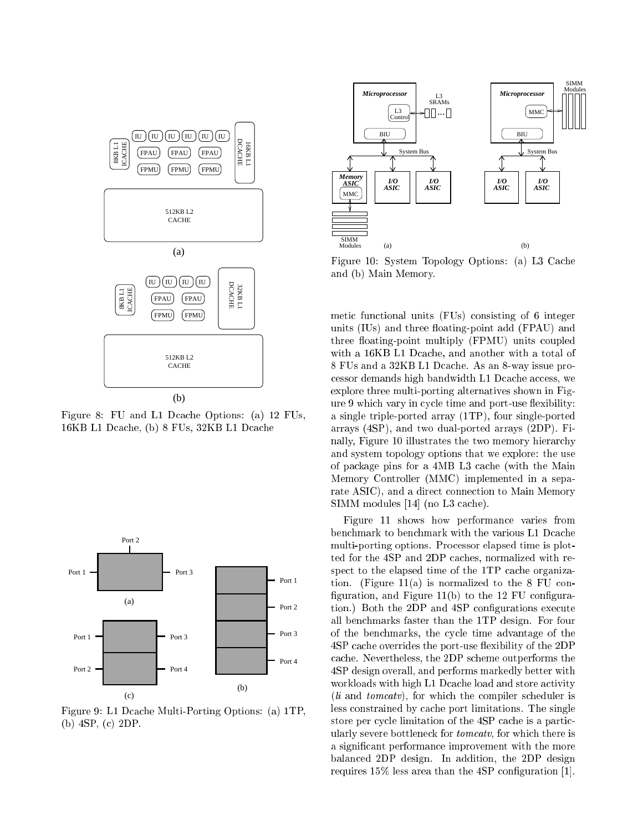

Figure 8: FU and L1 Dcache Options: (a) 12 FUs, 16KB L1 Dcache, (b) 8 FUs, 32KB L1 Dcache



Figure 9: L1 Dcache Multi-Porting Options: (a) 1TP, (b) 4SP, (c) 2DP.



Figure 10: System Topology Options: (a) L3 Cache and (b) Main Memory.

metic functional units (FUs) consisting of 6 integer units (IUs) and three floating-point add (FPAU) and three floating-point multiply (FPMU) units coupled with a 16KB L1 Dcache, and another with a total of 8 FUs and a 32KB L1 Dcache. As an 8-way issue processor demands high bandwidth L1 Dcache access, we explore three multi-porting alternatives shown in Figure 9 which vary in cycle time and port-use flexibility: a single triple-ported array (1TP), four single-ported arrays (4SP), and two dual-ported arrays (2DP). Finally, Figure 10 illustrates the two memory hierarchy and system topology options that we explore: the use of package pins for a 4MB L3 cache (with the Main Memory Controller (MMC) implemented in a separate ASIC), and a direct connection to Main Memory SIMM modules [14] (no L3 cache).

Figure 11 shows how performance varies from benchmark to benchmark with the various L1 Dcache multi-porting options. Processor elapsed time is plotted for the 4SP and 2DP caches, normalized with respect to the elapsed time of the 1TP cache organization. (Figure  $11(a)$  is normalized to the 8 FU configuration, and Figure  $11(b)$  to the 12 FU configuration.) Both the 2DP and 4SP configurations execute all benchmarks faster than the 1TP design. For four of the benchmarks, the cycle time advantage of the 4SP cache overrides the port-use flexibility of the 2DP cache. Nevertheless, the 2DP scheme outperforms the 4SP design overall, and performs markedly better with workloads with high L1 Dcache load and store activity  $(li \text{ and } tomeatv)$ , for which the compiler scheduler is less constrained by cache port limitations. The single store per cycle limitation of the 4SP cache is a particularly severe bottleneck for *tomcatv*, for which there is a signicant performance improvement with the more balanced 2DP design. In addition, the 2DP design requires  $15\%$  less area than the 4SP configuration [1].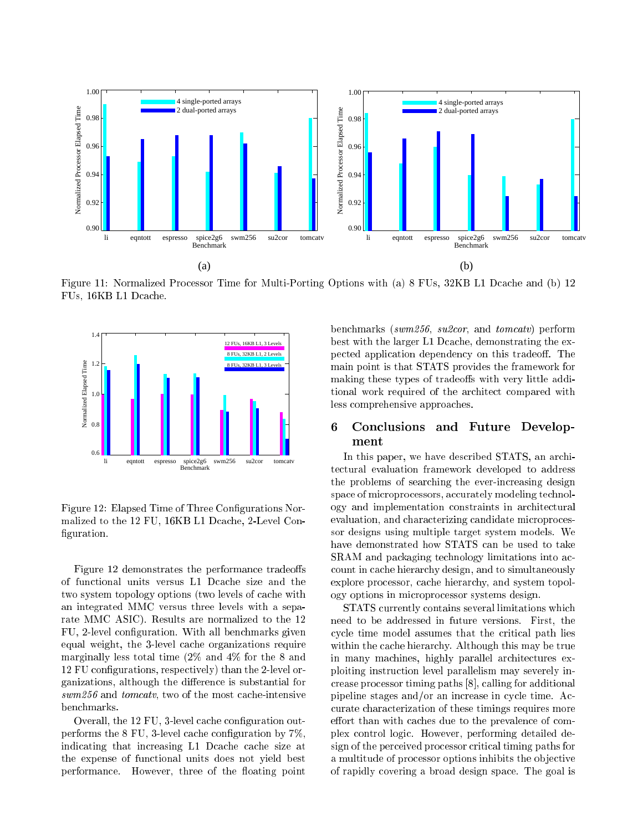

Figure 11: Normalized Processor Time for Multi-Porting Options with (a) 8 FUs, 32KB L1 Dcache and (b) 12 FUs, 16KB L1 Dcache.



Figure 12: Elapsed Time of Three Configurations Normalized to the 12 FU, 16KB L1 Dcache, 2-Level Con figuration.

Figure 12 demonstrates the performance tradeoffs of functional units versus L1 Dcache size and the two system topology options (two levels of cache with an integrated MMC versus three levels with a separate MMC ASIC). Results are normalized to the 12 FU, 2-level conguration. With all benchmarks given equal weight, the 3-level cache organizations require marginally less total time (2% and 4% for the 8 and 12 FU configurations, respectively) than the 2-level organizations, although the difference is substantial for swm256 and *tomcatv*, two of the most cache-intensive benchmarks.

Overall, the 12 FU, 3-level cache conguration outperforms the 8 FU, 3-level cache conguration by 7%, indicating that increasing L1 Dcache cache size at the expense of functional units does not yield best performance. However, three of the floating point benchmarks (swm256, su2cor, and tomcatv) perform best with the larger L1 Dcache, demonstrating the expected application dependency on this tradeoff. The main point is that STATS provides the framework for making these types of tradeoffs with very little additional work required of the architect compared with less comprehensive approaches.

### 6 6 Conclusions and Future Development

In this paper, we have described STATS, an architectural evaluation framework developed to address the problems of searching the ever-increasing design space of microprocessors, accurately modeling technology and implementation constraints in architectural evaluation, and characterizing candidate microprocessor designs using multiple target system models. We have demonstrated how STATS can be used to take SRAM and packaging technology limitations into account in cache hierarchy design, and to simultaneously explore processor, cache hierarchy, and system topology options in microprocessor systems design.

STATS currently contains several limitations which need to be addressed in future versions. First, the cycle time model assumes that the critical path lies within the cache hierarchy. Although this may be true in many machines, highly parallel architectures exploiting instruction level parallelism may severely increase processor timing paths [8], calling for additional pipeline stages and/or an increase in cycle time. Accurate characterization of these timings requires more effort than with caches due to the prevalence of complex control logic. However, performing detailed design of the perceived processor critical timing paths for a multitude of processor options inhibits the ob jective of rapidly covering a broad design space. The goal is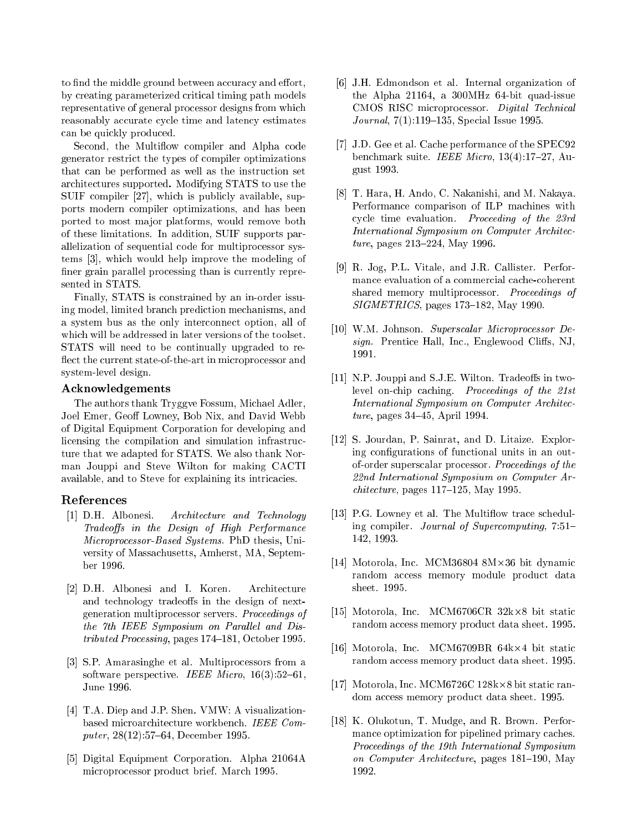to find the middle ground between accuracy and effort, by creating parameterized critical timing path models representative of general processor designs from which reasonably accurate cycle time and latency estimates can be quickly produced.

Second, the Multiflow compiler and Alpha code generator restrict the types of compiler optimizations that can be performed as well as the instruction set architectures supported. Modifying STATS to use the SUIF compiler [27], which is publicly available, supports modern compiler optimizations, and has been ported to most ma jor platforms, would remove both of these limitations. In addition, SUIF supports parallelization of sequential code for multiprocessor systems [3], which would help improve the modeling of finer grain parallel processing than is currently represented in STATS.

Finally, STATS is constrained by an in-order issuing model, limited branch prediction mechanisms, and a system bus as the only interconnect option, all of which will be addressed in later versions of the toolset. STATS will need to be continually upgraded to re flect the current state-of-the-art in microprocessor and system-level design.

### Acknowledgements

The authors thank Tryggve Fossum, Michael Adler, Joel Emer, Geoff Lowney, Bob Nix, and David Webb of Digital Equipment Corporation for developing and licensing the compilation and simulation infrastructure that we adapted for STATS. We also thank Norman Jouppi and Steve Wilton for making CACTI available, and to Steve for explaining its intricacies.

### References

- [1] D.H. Albonesi. Architecture and Technology Tradeoffs in the Design of High Performance Microprocessor-Based Systems. PhD thesis, University of Massachusetts, Amherst, MA, September 1996.
- [2] D.H. Albonesi and I. Koren. Architecture and technology tradeoffs in the design of nextgeneration multiprocessor servers. Proceedings of the 7th IEEE Symposium on Parallel and Dis $tributed$  Processing, pages 174-181, October 1995.
- [3] S.P. Amarasinghe et al. Multiprocessors from a software perspective. IEEE Micro,  $16(3):52{-}61$ , June 1996.
- [4] T.A. Diep and J.P. Shen. VMW: A visualizationbased microarchitecture workbench. IEEE Computer,  $28(12):57{-}64$ , December 1995.
- [5] Digital Equipment Corporation. Alpha 21064A microprocessor product brief. March 1995.
- [6] J.H. Edmondson et al. Internal organization of the Alpha 21164, a 300MHz 64-bit quad-issue CMOS RISC microprocessor. Digital Technical Journal,  $7(1):119-135$ , Special Issue 1995.
- [7] J.D. Gee et al. Cache performance of the SPEC92 benchmark suite. IEEE Micro,  $13(4):17-27$ , August 1993.
- [8] T. Hara, H. Ando, C. Nakanishi, and M. Nakaya. Performance comparison of ILP machines with cycle time evaluation. Proceeding of the 23rd International Symposium on Computer Architec $ture, pages 213–224, May 1996.$
- [9] R. Jog, P.L. Vitale, and J.R. Callister. Performance evaluation of a commercial cache-coherent shared memory multiprocessor. Proceedings of  $SIGMETRICS$ , pages 173-182, May 1990.
- [10] W.M. Johnson. Superscalar Microprocessor De $sign.$  Prentice Hall, Inc., Englewood Cliffs, NJ, 1991.
- $[11]$  N.P. Jouppi and S.J.E. Wilton. Tradeoffs in twolevel on-chip caching. Proceedings of the 21st International Symposium on Computer Architecture, pages  $34-45$ , April 1994.
- [12] S. Jourdan, P. Sainrat, and D. Litaize. Exploring configurations of functional units in an outof-order superscalar processor. Proceedings of the 22nd International Symposium on Computer Ar $chitecture$ , pages 117-125, May 1995.
- [13] P.G. Lowney et al. The Multiflow trace scheduling compiler. Journal of Supercomputing,  $7.51-$ 142, 1993.
- 144 bit dynamic Inc. McM368994 8M-902 8M-902 8M-902 8M-902 8M-902 8M-902 8M-902 8M-902 8M-902 8M-902 8M-902 8M random access memory module product data sheet. 1995.
- [15] Motorola, Inc. MCM6706CR 32k-8 bit static random access memory product data sheet. 1995.
- 16. Motorola, Inc. McCore, McCore, McCore, McCore, McCore, McCore, McCore, McCore, McCore, McCore, McCore, Mc random access memory product data sheet. 1995.
- [17] Motorola, Inc. MCM6726C 128k-8 bit static random access memory product data sheet. 1995.
- [18] K. Olukotun, T. Mudge, and R. Brown. Performance optimization for pipelined primary caches. Proceedings of the 19th International Symposium on Computer Architecture, pages  $181-190$ , May 1992.